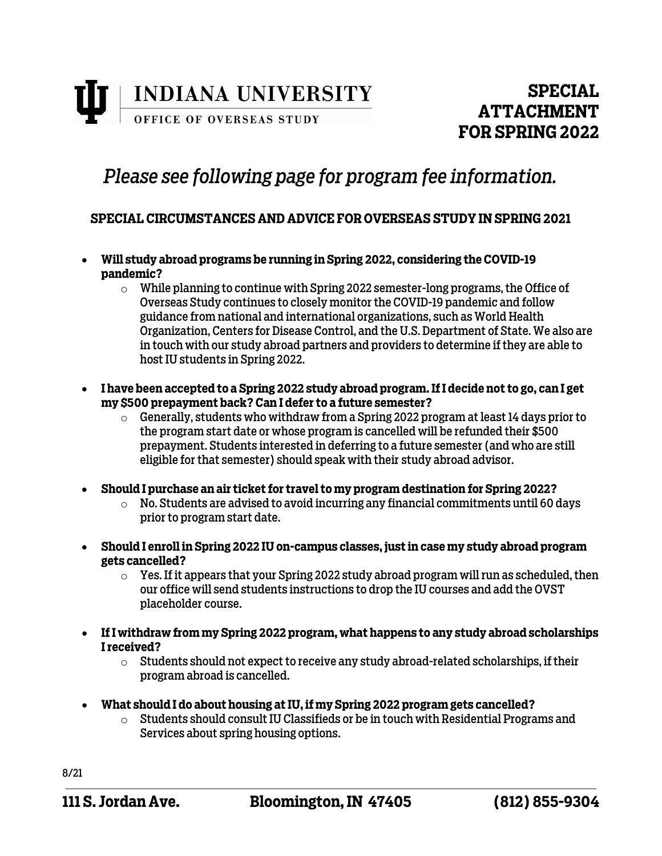

## *Please see following page for program fee information.*

### **SPECIAL CIRCUMSTANCES AND ADVICE FOR OVERSEAS STUDY IN SPRING 2021**

- **Will study abroad programs be running in Spring 2022, considering the COVID-19 pandemic?** 
	- $\circ$  While planning to continue with Spring 2022 semester-long programs, the Office of Overseas Study continues to closely monitor the COVID-19 pandemic and follow guidance from national and international organizations, such as World Health Organization, Centers for Disease Control, and the U.S. Department of State. We also are in touch with our study abroad partners and providers to determine if they are able to host IU students in Spring 2022.
- **I have been accepted to a Spring 2022 study abroad program. If I decide not to go, can I get my \$500 prepayment back? Can I defer to a future semester?**
	- $\circ$  Generally, students who withdraw from a Spring 2022 program at least 14 days prior to the program start date or whose program is cancelled will be refunded their \$500 prepayment. Students interested in deferring to a future semester (and who are still eligible for that semester) should speak with their study abroad advisor.
- **Should I purchase an air ticket for travel to my program destination for Spring 2022?**
	- $\circ$  No. Students are advised to avoid incurring any financial commitments until 60 days prior to program start date.
- **Should I enroll in Spring 2022 IU on-campus classes, just in case my study abroad program gets cancelled?**
	- $\circ$  Yes. If it appears that your Spring 2022 study abroad program will run as scheduled, then our office will send students instructions to drop the IU courses and add the OVST placeholder course.
- **If I withdraw from my Spring 2022 program, what happens to any study abroad scholarships I received?**
	- $\circ$  Students should not expect to receive any study abroad-related scholarships, if their program abroad is cancelled.
- **What should I do about housing at IU, if my Spring 2022 program gets cancelled?**
	- o Students should consult IU Classifieds or be in touch with Residential Programs and Services about spring housing options.